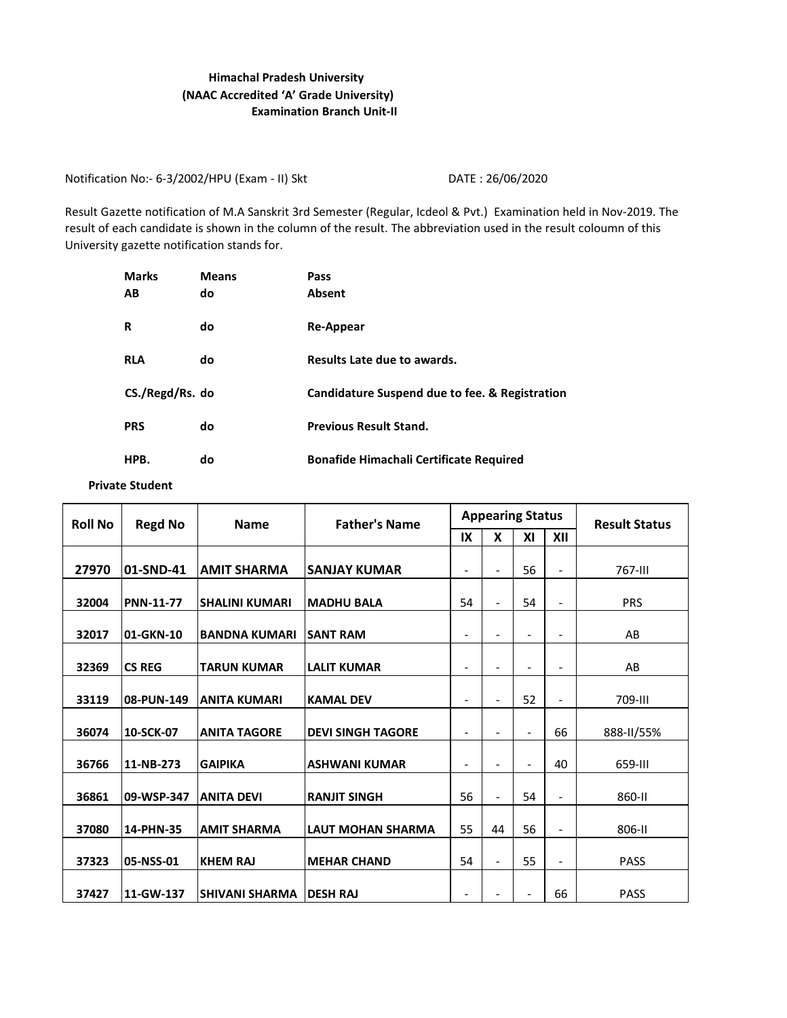## **Examination Branch Unit-II Himachal Pradesh University (NAAC Accredited 'A' Grade University)**

Notification No:- 6-3/2002/HPU (Exam - II) Skt DATE : 26/06/2020

Result Gazette notification of M.A Sanskrit 3rd Semester (Regular, Icdeol & Pvt.) Examination held in Nov-2019. The result of each candidate is shown in the column of the result. The abbreviation used in the result coloumn of this University gazette notification stands for.

| <b>Marks</b>    | <b>Means</b> | Pass                                           |
|-----------------|--------------|------------------------------------------------|
| AB              | do           | Absent                                         |
| R               | do           | Re-Appear                                      |
| <b>RLA</b>      | do           | Results Late due to awards.                    |
| CS./Regd/Rs. do |              | Candidature Suspend due to fee. & Registration |
| <b>PRS</b>      | do           | <b>Previous Result Stand.</b>                  |
| HPB.            | do           | <b>Bonafide Himachali Certificate Required</b> |

**Private Student**

| <b>Roll No</b> | <b>Regd No</b>   | <b>Name</b>           | <b>Father's Name</b>     |                          |                          | <b>Appearing Status</b>  | <b>Result Status</b>         |             |
|----------------|------------------|-----------------------|--------------------------|--------------------------|--------------------------|--------------------------|------------------------------|-------------|
|                |                  |                       |                          | IX                       | X                        | XI                       | XII                          |             |
| 27970          | 01-SND-41        | <b>AMIT SHARMA</b>    | <b>SANJAY KUMAR</b>      | $\overline{\phantom{a}}$ | $\overline{\phantom{a}}$ | 56                       | $\overline{\phantom{a}}$     | 767-III     |
| 32004          | <b>PNN-11-77</b> | <b>SHALINI KUMARI</b> | <b>MADHU BALA</b>        | 54                       | $\overline{\phantom{0}}$ | 54                       | $\overline{\phantom{a}}$     | <b>PRS</b>  |
| 32017          | 01-GKN-10        | <b>BANDNA KUMARI</b>  | <b>SANT RAM</b>          | $\overline{\phantom{a}}$ | $\overline{\phantom{0}}$ | $\overline{\phantom{a}}$ | $\qquad \qquad \blacksquare$ | AB          |
| 32369          | <b>CS REG</b>    | <b>TARUN KUMAR</b>    | <b>LALIT KUMAR</b>       | $\overline{\phantom{a}}$ | $\overline{\phantom{0}}$ | $\overline{\phantom{a}}$ | $\overline{\phantom{a}}$     | AB          |
| 33119          | 08-PUN-149       | <b>ANITA KUMARI</b>   | <b>KAMAL DEV</b>         | $\overline{\phantom{a}}$ | $\blacksquare$           | 52                       | $\overline{\phantom{a}}$     | 709-III     |
| 36074          | 10-SCK-07        | <b>ANITA TAGORE</b>   | <b>DEVI SINGH TAGORE</b> | $\overline{\phantom{a}}$ | $\overline{\phantom{0}}$ | $\blacksquare$           | 66                           | 888-II/55%  |
| 36766          | 11-NB-273        | <b>GAIPIKA</b>        | <b>ASHWANI KUMAR</b>     | $\overline{\phantom{a}}$ | $\overline{\phantom{0}}$ | $\blacksquare$           | 40                           | 659-III     |
| 36861          | 09-WSP-347       | <b>ANITA DEVI</b>     | <b>RANJIT SINGH</b>      | 56                       | $\overline{\phantom{a}}$ | 54                       | $\overline{\phantom{a}}$     | 860-II      |
| 37080          | 14-PHN-35        | <b>AMIT SHARMA</b>    | <b>LAUT MOHAN SHARMA</b> | 55                       | 44                       | 56                       | $\overline{\phantom{0}}$     | 806-II      |
| 37323          | 05-NSS-01        | <b>KHEM RAJ</b>       | <b>MEHAR CHAND</b>       | 54                       | $\overline{\phantom{a}}$ | 55                       | $\overline{\phantom{0}}$     | <b>PASS</b> |
| 37427          | 11-GW-137        | ISHIVANI SHARMA       | <b>DESH RAJ</b>          | Ξ.                       | $\overline{\phantom{0}}$ | $\overline{\phantom{a}}$ | 66                           | <b>PASS</b> |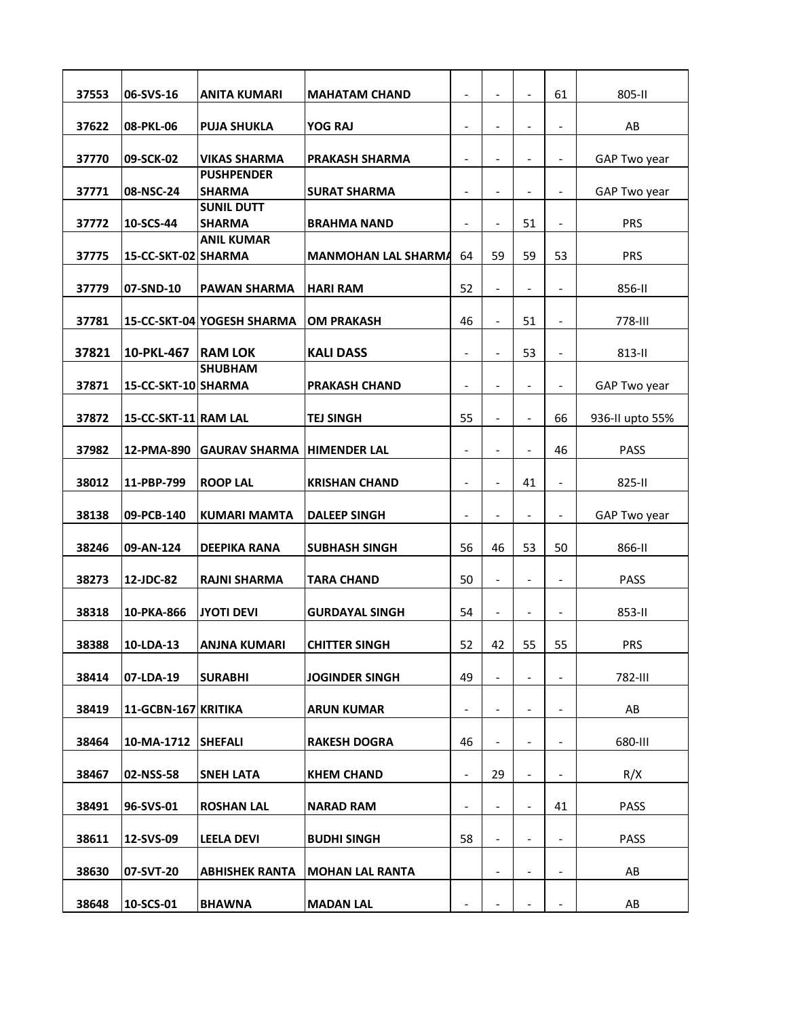| 37553 | 06-SVS-16            | <b>ANITA KUMARI</b>                | <b>MAHATAM CHAND</b>       | $\qquad \qquad \blacksquare$ | $\overline{a}$           |                          | 61                           | 805-II          |
|-------|----------------------|------------------------------------|----------------------------|------------------------------|--------------------------|--------------------------|------------------------------|-----------------|
| 37622 | 08-PKL-06            | <b>PUJA SHUKLA</b>                 | YOG RAJ                    | $\overline{\phantom{a}}$     | $\frac{1}{2}$            | $\overline{\phantom{a}}$ | $\overline{a}$               | AB              |
| 37770 | 09-SCK-02            | <b>VIKAS SHARMA</b>                | <b>PRAKASH SHARMA</b>      | $\overline{\phantom{0}}$     | $\overline{\phantom{0}}$ |                          |                              | GAP Two year    |
| 37771 | 08-NSC-24            | <b>PUSHPENDER</b><br><b>SHARMA</b> | <b>SURAT SHARMA</b>        | $\overline{\phantom{a}}$     | $\overline{a}$           |                          | $\qquad \qquad \blacksquare$ | GAP Two year    |
| 37772 | 10-SCS-44            | <b>SUNIL DUTT</b><br><b>SHARMA</b> | <b>BRAHMA NAND</b>         | $\overline{\phantom{a}}$     | $\overline{\phantom{a}}$ | 51                       | $\qquad \qquad \blacksquare$ | <b>PRS</b>      |
| 37775 | 15-CC-SKT-02 SHARMA  | <b>ANIL KUMAR</b>                  | <b>MANMOHAN LAL SHARMA</b> | 64                           | 59                       | 59                       | 53                           | <b>PRS</b>      |
|       |                      |                                    |                            |                              |                          |                          |                              |                 |
| 37779 | 07-SND-10            | <b>PAWAN SHARMA</b>                | <b>HARI RAM</b>            | 52                           | $\frac{1}{2}$            | $\overline{\phantom{a}}$ | $\qquad \qquad \blacksquare$ | 856-II          |
| 37781 |                      | 15-CC-SKT-04 YOGESH SHARMA         | <b>OM PRAKASH</b>          | 46                           | $\overline{a}$           | 51                       | $\overline{\phantom{a}}$     | 778-III         |
| 37821 | 10-PKL-467           | <b>RAM LOK</b><br><b>SHUBHAM</b>   | <b>KALI DASS</b>           | $\overline{\phantom{a}}$     | $\overline{\phantom{0}}$ | 53                       |                              | 813-II          |
| 37871 | 15-CC-SKT-10 SHARMA  |                                    | <b>PRAKASH CHAND</b>       | $\overline{\phantom{a}}$     | $\overline{\phantom{a}}$ | $\overline{\phantom{a}}$ | $\overline{\phantom{0}}$     | GAP Two year    |
| 37872 | 15-CC-SKT-11 RAM LAL |                                    | <b>TEJ SINGH</b>           | 55                           | $\overline{a}$           | $\overline{\phantom{a}}$ | 66                           | 936-II upto 55% |
| 37982 | 12-PMA-890           | <b>GAURAV SHARMA</b>               | <b>HIMENDER LAL</b>        | $\overline{\phantom{a}}$     | $\overline{\phantom{a}}$ | $\overline{\phantom{a}}$ | 46                           | PASS            |
| 38012 | 11-PBP-799           | <b>ROOP LAL</b>                    | <b>KRISHAN CHAND</b>       | $\overline{\phantom{a}}$     | $\blacksquare$           | 41                       | $\overline{\phantom{a}}$     | 825-II          |
| 38138 | 09-PCB-140           | <b>KUMARI MAMTA</b>                | <b>DALEEP SINGH</b>        | $\overline{\phantom{a}}$     | $\overline{\phantom{0}}$ |                          | $\qquad \qquad \blacksquare$ | GAP Two year    |
| 38246 | 09-AN-124            | <b>DEEPIKA RANA</b>                | <b>SUBHASH SINGH</b>       | 56                           | 46                       | 53                       | 50                           | 866-II          |
| 38273 | 12-JDC-82            | <b>RAJNI SHARMA</b>                | <b>TARA CHAND</b>          | 50                           | $\frac{1}{2}$            | $\overline{\phantom{a}}$ | $\qquad \qquad \blacksquare$ | <b>PASS</b>     |
| 38318 | 10-PKA-866           | <b>JYOTI DEVI</b>                  | <b>GURDAYAL SINGH</b>      | 54                           | $\overline{\phantom{a}}$ | $\overline{\phantom{a}}$ | $\qquad \qquad \blacksquare$ | 853-II          |
| 38388 | 10-LDA-13            | <b>ANJNA KUMARI</b>                | <b>CHITTER SINGH</b>       | 52                           | 42                       | 55                       | 55                           | <b>PRS</b>      |
| 38414 | 07-LDA-19            | <b>SURABHI</b>                     | <b>JOGINDER SINGH</b>      | 49                           | $\overline{\phantom{0}}$ |                          | -                            | 782-III         |
| 38419 | 11-GCBN-167 KRITIKA  |                                    | <b>ARUN KUMAR</b>          | $\overline{\phantom{a}}$     | $\overline{\phantom{a}}$ | $\overline{\phantom{a}}$ | -                            | AB              |
| 38464 | 10-MA-1712           | <b>SHEFALI</b>                     | <b>RAKESH DOGRA</b>        | 46                           | $\overline{\phantom{0}}$ | $\overline{\phantom{a}}$ | -                            | 680-III         |
| 38467 | 02-NSS-58            | <b>SNEH LATA</b>                   | <b>KHEM CHAND</b>          | $\overline{\phantom{a}}$     | 29                       | $\blacksquare$           | $\overline{\phantom{0}}$     | R/X             |
| 38491 | 96-SVS-01            | <b>ROSHAN LAL</b>                  | <b>NARAD RAM</b>           | $\overline{\phantom{a}}$     | $\overline{\phantom{0}}$ |                          | 41                           | PASS            |
| 38611 | 12-SVS-09            | <b>LEELA DEVI</b>                  | <b>BUDHI SINGH</b>         | 58                           | $\overline{\phantom{0}}$ |                          | -                            | PASS            |
| 38630 | 07-SVT-20            | <b>ABHISHEK RANTA</b>              | <b>MOHAN LAL RANTA</b>     |                              | $\overline{\phantom{0}}$ |                          | -                            | AB              |
| 38648 | 10-SCS-01            | <b>BHAWNA</b>                      | <b>MADAN LAL</b>           | -                            | -                        |                          |                              | AB              |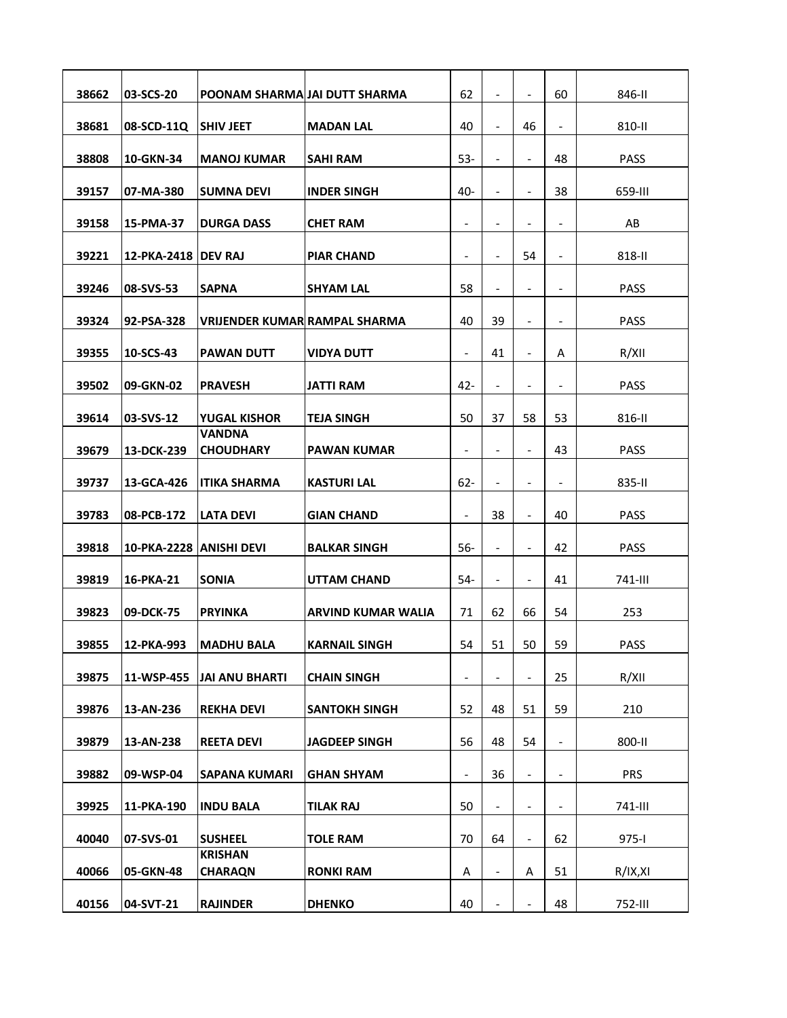| 38662 | 03-SCS-20               | POONAM SHARMA JAI DUTT SHARMA        |                           | 62                       |                          |                              | 60                           | 846-II      |
|-------|-------------------------|--------------------------------------|---------------------------|--------------------------|--------------------------|------------------------------|------------------------------|-------------|
| 38681 | 08-SCD-11Q              | <b>SHIV JEET</b>                     | <b>MADAN LAL</b>          | 40                       | $\frac{1}{2}$            | 46                           | -                            | 810-II      |
| 38808 | 10-GKN-34               | <b>MANOJ KUMAR</b>                   | <b>SAHI RAM</b>           | $53 -$                   | $\overline{\phantom{0}}$ | $\overline{\phantom{a}}$     | 48                           | PASS        |
| 39157 | 07-MA-380               | <b>SUMNA DEVI</b>                    | <b>INDER SINGH</b>        | 40-                      | $\overline{a}$           | $\overline{\phantom{0}}$     | 38                           | 659-III     |
| 39158 | 15-PMA-37               | <b>DURGA DASS</b>                    | <b>CHET RAM</b>           | $\overline{\phantom{a}}$ | $\overline{\phantom{0}}$ |                              | -                            | AB          |
| 39221 | 12-PKA-2418 IDEV RAJ    |                                      | <b>PIAR CHAND</b>         | $\overline{\phantom{0}}$ | $\overline{\phantom{0}}$ | 54                           | $\overline{a}$               | 818-II      |
| 39246 | 08-SVS-53               | <b>SAPNA</b>                         | <b>SHYAM LAL</b>          | 58                       | $\overline{\phantom{0}}$ | $\overline{\phantom{a}}$     | -                            | PASS        |
| 39324 | 92-PSA-328              | <b>VRIJENDER KUMAR RAMPAL SHARMA</b> |                           | 40                       | 39                       |                              | -                            | <b>PASS</b> |
| 39355 | 10-SCS-43               | <b>PAWAN DUTT</b>                    | <b>VIDYA DUTT</b>         | $\frac{1}{2}$            | 41                       | $\qquad \qquad \blacksquare$ | Α                            | R/XII       |
| 39502 | 09-GKN-02               | <b>PRAVESH</b>                       | <b>JATTI RAM</b>          | $42 -$                   | $\overline{\phantom{0}}$ |                              | -                            | <b>PASS</b> |
| 39614 | 03-SVS-12               | YUGAL KISHOR                         | <b>TEJA SINGH</b>         | 50                       | 37                       | 58                           | 53                           | 816-II      |
| 39679 | 13-DCK-239              | VANDNA<br><b>CHOUDHARY</b>           | <b>PAWAN KUMAR</b>        | $\overline{\phantom{a}}$ | $\overline{\phantom{a}}$ | $\overline{\phantom{a}}$     | 43                           | <b>PASS</b> |
| 39737 | 13-GCA-426              | <b>ITIKA SHARMA</b>                  | <b>KASTURI LAL</b>        | $62 -$                   | $\overline{\phantom{0}}$ | $\qquad \qquad \blacksquare$ | $\overline{a}$               | 835-II      |
|       |                         |                                      |                           |                          |                          |                              |                              |             |
| 39783 | 08-PCB-172              | <b>LATA DEVI</b>                     | <b>GIAN CHAND</b>         | $\overline{\phantom{a}}$ | 38                       | $\overline{\phantom{a}}$     | 40                           | <b>PASS</b> |
| 39818 | 10-PKA-2228 ANISHI DEVI |                                      | <b>BALKAR SINGH</b>       | $56-$                    | $\overline{\phantom{0}}$ | $\overline{\phantom{a}}$     | 42                           | PASS        |
| 39819 | 16-PKA-21               | <b>SONIA</b>                         | <b>UTTAM CHAND</b>        | 54-                      | $\overline{\phantom{0}}$ | $\overline{\phantom{a}}$     | 41                           | 741-III     |
| 39823 | 09-DCK-75               | <b>PRYINKA</b>                       | <b>ARVIND KUMAR WALIA</b> | 71                       | 62                       | 66                           | 54                           | 253         |
| 39855 | 12-PKA-993              | <b>MADHU BALA</b>                    | <b>KARNAIL SINGH</b>      | 54                       | 51                       | 50                           | 59                           | PASS        |
| 39875 | 11-WSP-455              | JAI ANU BHARTI                       | <b>CHAIN SINGH</b>        | $\overline{\phantom{0}}$ |                          |                              | 25                           | R/XII       |
| 39876 | 13-AN-236               | <b>REKHA DEVI</b>                    | <b>SANTOKH SINGH</b>      | 52                       | 48                       | 51                           | 59                           | 210         |
| 39879 | 13-AN-238               | <b>REETA DEVI</b>                    | <b>JAGDEEP SINGH</b>      | 56                       | 48                       | 54                           | $\qquad \qquad \blacksquare$ | 800-II      |
| 39882 | 09-WSP-04               | <b>SAPANA KUMARI</b>                 | <b>GHAN SHYAM</b>         | $\overline{\phantom{a}}$ | 36                       | $\overline{\phantom{a}}$     | $\qquad \qquad \blacksquare$ | <b>PRS</b>  |
| 39925 | 11-PKA-190              | <b>INDU BALA</b>                     | <b>TILAK RAJ</b>          | 50                       | $\overline{\phantom{0}}$ | $\overline{\phantom{0}}$     | -                            | 741-III     |
| 40040 | 07-SVS-01               | <b>SUSHEEL</b>                       | <b>TOLE RAM</b>           | 70                       | 64                       | $\qquad \qquad \blacksquare$ | 62                           | $975 - 1$   |
| 40066 | 05-GKN-48               | <b>KRISHAN</b><br><b>CHARAQN</b>     | <b>RONKI RAM</b>          | А                        | $\overline{\phantom{0}}$ | A                            | 51                           | R/IX, XI    |
| 40156 | 04-SVT-21               | <b>RAJINDER</b>                      | <b>DHENKO</b>             | 40                       |                          |                              | 48                           | 752-III     |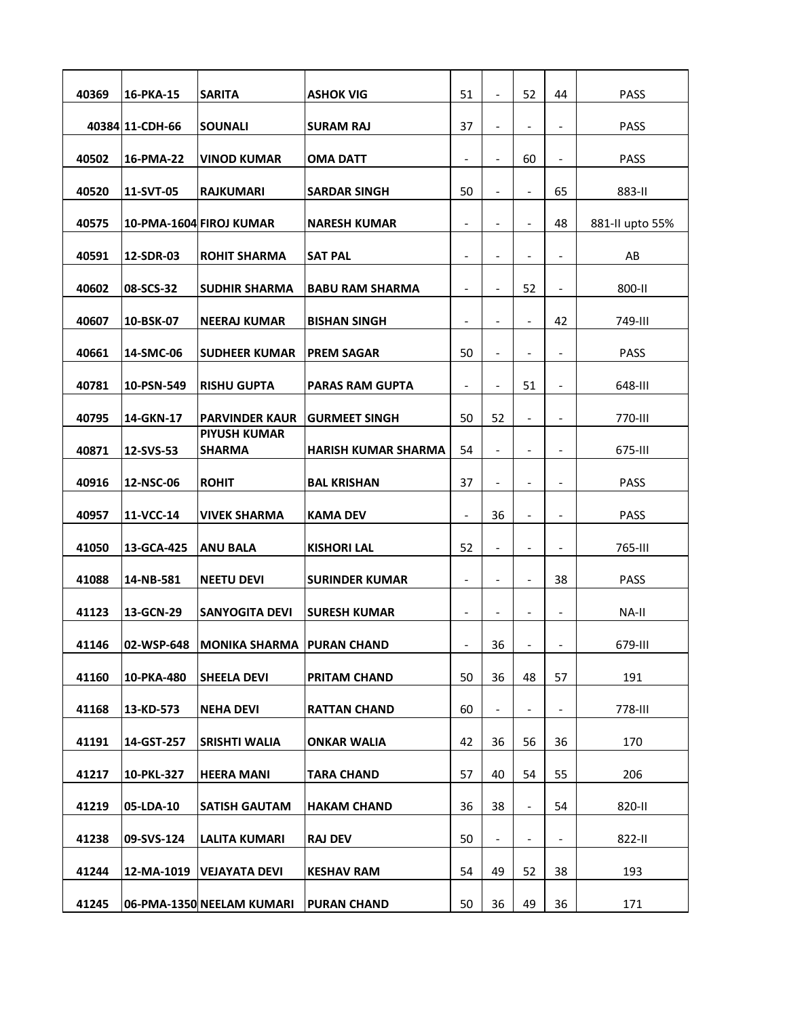| 40369 | 16-PKA-15       | <b>SARITA</b>                          | <b>ASHOK VIG</b>           | 51                       |                          | 52                       | 44                           | <b>PASS</b>     |
|-------|-----------------|----------------------------------------|----------------------------|--------------------------|--------------------------|--------------------------|------------------------------|-----------------|
|       | 40384 11-CDH-66 | <b>SOUNALI</b>                         | <b>SURAM RAJ</b>           | 37                       | $\overline{\phantom{a}}$ | $\overline{\phantom{a}}$ | $\overline{a}$               | <b>PASS</b>     |
| 40502 | 16-PMA-22       | <b>VINOD KUMAR</b>                     | OMA DATT                   | $\overline{\phantom{a}}$ | $\overline{\phantom{0}}$ | 60                       |                              | PASS            |
| 40520 | 11-SVT-05       | <b>RAJKUMARI</b>                       | <b>SARDAR SINGH</b>        | 50                       | $\overline{\phantom{0}}$ | $\overline{\phantom{a}}$ | 65                           | 883-II          |
| 40575 |                 | 10-PMA-1604 FIROJ KUMAR                | <b>NARESH KUMAR</b>        | $\overline{\phantom{a}}$ | $\overline{\phantom{0}}$ | $\overline{\phantom{a}}$ | 48                           | 881-II upto 55% |
| 40591 | 12-SDR-03       | <b>ROHIT SHARMA</b>                    | <b>SAT PAL</b>             | $\overline{\phantom{a}}$ | $\overline{a}$           |                          | -                            | AB              |
| 40602 | 08-SCS-32       | <b>SUDHIR SHARMA</b>                   | <b>BABU RAM SHARMA</b>     | $\overline{\phantom{a}}$ | $\overline{\phantom{a}}$ | 52                       | -                            | 800-II          |
|       |                 |                                        |                            |                          |                          |                          |                              |                 |
| 40607 | 10-BSK-07       | <b>NEERAJ KUMAR</b>                    | <b>BISHAN SINGH</b>        | $\overline{\phantom{0}}$ |                          | $\blacksquare$           | 42                           | 749-III         |
| 40661 | 14-SMC-06       | <b>SUDHEER KUMAR</b>                   | <b>PREM SAGAR</b>          | 50                       | $\overline{\phantom{0}}$ |                          | -                            | PASS            |
| 40781 | 10-PSN-549      | <b>RISHU GUPTA</b>                     | <b>PARAS RAM GUPTA</b>     | $\overline{\phantom{0}}$ | $\overline{\phantom{0}}$ | 51                       | -                            | 648-III         |
| 40795 | 14-GKN-17       | PARVINDER KAUR<br><b>PIYUSH KUMAR</b>  | <b>GURMEET SINGH</b>       | 50                       | 52                       |                          |                              | 770-III         |
| 40871 | 12-SVS-53       | <b>SHARMA</b>                          | <b>HARISH KUMAR SHARMA</b> | 54                       | $\overline{\phantom{a}}$ | $\overline{\phantom{a}}$ | $\qquad \qquad \blacksquare$ | 675-III         |
| 40916 | 12-NSC-06       | <b>ROHIT</b>                           | <b>BAL KRISHAN</b>         | 37                       | $\overline{\phantom{0}}$ |                          | $\overline{a}$               | PASS            |
| 40957 | 11-VCC-14       | <b>VIVEK SHARMA</b>                    | <b>KAMA DEV</b>            | $\overline{\phantom{a}}$ | 36                       |                          | -                            | PASS            |
| 41050 | 13-GCA-425      | <b>ANU BALA</b>                        | <b>KISHORI LAL</b>         | 52                       | $\overline{\phantom{0}}$ | $\overline{\phantom{a}}$ | -                            | 765-III         |
| 41088 | 14-NB-581       | <b>NEETU DEVI</b>                      | <b>SURINDER KUMAR</b>      | $\overline{\phantom{0}}$ | $\overline{\phantom{0}}$ | $\overline{\phantom{0}}$ | 38                           | <b>PASS</b>     |
| 41123 | 13-GCN-29       | <b>SANYOGITA DEVI</b>                  | <b>SURESH KUMAR</b>        | $\overline{\phantom{a}}$ | $\overline{\phantom{a}}$ | $\overline{\phantom{a}}$ | $\qquad \qquad \blacksquare$ | NA-II           |
| 41146 |                 | 02-WSP-648 MONIKA SHARMA   PURAN CHAND |                            |                          | 36                       |                          |                              | 679-III         |
| 41160 | 10-PKA-480      | <b>SHEELA DEVI</b>                     | <b>PRITAM CHAND</b>        | 50                       | 36                       | 48                       | 57                           | 191             |
| 41168 | 13-KD-573       | <b>NEHA DEVI</b>                       | <b>RATTAN CHAND</b>        | 60                       | $\overline{\phantom{0}}$ | $\overline{\phantom{a}}$ | -                            | 778-III         |
| 41191 | 14-GST-257      | SRISHTI WALIA                          | <b>ONKAR WALIA</b>         | 42                       | 36                       | 56                       | 36                           | 170             |
| 41217 | 10-PKL-327      | <b>HEERA MANI</b>                      | <b>TARA CHAND</b>          | 57                       | 40                       | 54                       | 55                           | 206             |
| 41219 | 05-LDA-10       | <b>SATISH GAUTAM</b>                   | <b>HAKAM CHAND</b>         | 36                       | 38                       | $\overline{\phantom{a}}$ | 54                           | 820-II          |
| 41238 | 09-SVS-124      |                                        | <b>RAJ DEV</b>             | 50                       | -                        |                          | -                            | 822-II          |
|       |                 | <b>LALITA KUMARI</b>                   |                            |                          |                          |                          |                              |                 |
| 41244 |                 | 12-MA-1019   VEJAYATA DEVI             | <b>KESHAV RAM</b>          | 54                       | 49                       | 52                       | 38                           | 193             |
| 41245 |                 | 06-PMA-1350 NEELAM KUMARI              | <b>PURAN CHAND</b>         | 50                       | 36                       | 49                       | 36                           | 171             |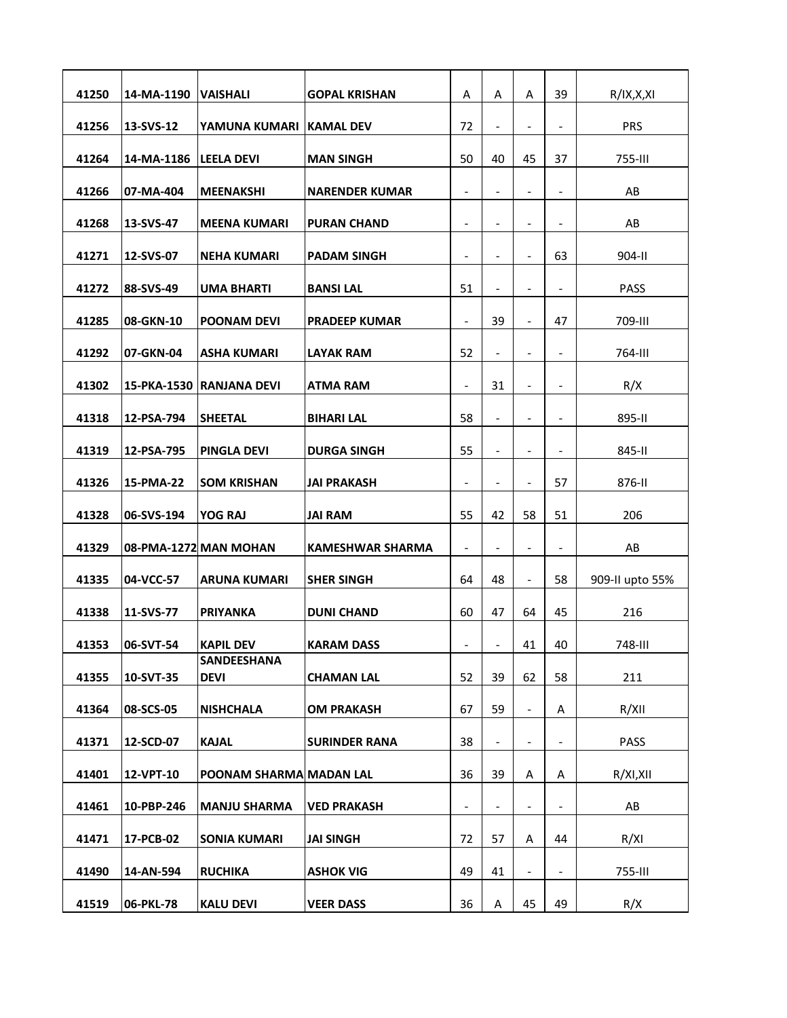| 41250 | 14-MA-1190  | <b>VAISHALI</b>            | <b>GOPAL KRISHAN</b>  | Α                        | Α                            | Α                        | 39                           | R/IX, X, XI     |
|-------|-------------|----------------------------|-----------------------|--------------------------|------------------------------|--------------------------|------------------------------|-----------------|
| 41256 | 13-SVS-12   | YAMUNA KUMARI KAMAL DEV    |                       | 72                       | $\overline{\phantom{a}}$     | $\overline{\phantom{a}}$ | $\qquad \qquad \blacksquare$ | <b>PRS</b>      |
| 41264 | 14-MA-1186  | <b>LEELA DEVI</b>          | <b>MAN SINGH</b>      | 50                       | 40                           | 45                       | 37                           | 755-III         |
| 41266 | 07-MA-404   | <b>MEENAKSHI</b>           | <b>NARENDER KUMAR</b> | $\overline{\phantom{0}}$ |                              |                          | -                            | AB              |
| 41268 | 13-SVS-47   | <b>MEENA KUMARI</b>        | <b>PURAN CHAND</b>    | $\overline{\phantom{a}}$ | $\overline{\phantom{0}}$     | $\overline{\phantom{a}}$ | -                            | AB              |
| 41271 | 12-SVS-07   | <b>NEHA KUMARI</b>         | <b>PADAM SINGH</b>    | $\overline{\phantom{a}}$ | $\overline{a}$               | $\overline{\phantom{0}}$ | 63                           | 904-II          |
| 41272 | 88-SVS-49   | <b>UMA BHARTI</b>          | <b>BANSILAL</b>       | 51                       | $\overline{\phantom{0}}$     | $\overline{\phantom{a}}$ | -                            | PASS            |
| 41285 | 08-GKN-10   | <b>POONAM DEVI</b>         | <b>PRADEEP KUMAR</b>  | $\blacksquare$           | 39                           | $\frac{1}{2}$            | 47                           | 709-III         |
| 41292 | 07-GKN-04   | <b>ASHA KUMARI</b>         | <b>LAYAK RAM</b>      | 52                       | $\overline{\phantom{0}}$     |                          | -                            | 764-III         |
| 41302 | 15-PKA-1530 | IRANJANA DEVI              | ATMA RAM              | $\overline{\phantom{0}}$ | 31                           |                          | -                            | R/X             |
|       |             |                            |                       |                          |                              |                          |                              |                 |
| 41318 | 12-PSA-794  | <b>SHEETAL</b>             | <b>BIHARI LAL</b>     | 58                       | $\overline{\phantom{0}}$     |                          | $\overline{a}$               | 895-II          |
| 41319 | 12-PSA-795  | <b>PINGLA DEVI</b>         | <b>DURGA SINGH</b>    | 55                       | $\overline{\phantom{a}}$     | $\overline{\phantom{a}}$ | $\overline{\phantom{a}}$     | 845-II          |
| 41326 | 15-PMA-22   | <b>SOM KRISHAN</b>         | <b>JAI PRAKASH</b>    | $\overline{\phantom{a}}$ | $\overline{\phantom{0}}$     | $\overline{\phantom{a}}$ | 57                           | 876-II          |
| 41328 | 06-SVS-194  | YOG RAJ                    | <b>JAI RAM</b>        | 55                       | 42                           | 58                       | 51                           | 206             |
| 41329 |             | 08-PMA-1272 MAN MOHAN      | KAMESHWAR SHARMA      | $\overline{\phantom{a}}$ | $\qquad \qquad \blacksquare$ | $\overline{\phantom{a}}$ | $\overline{\phantom{a}}$     | AB              |
| 41335 | 04-VCC-57   | <b>ARUNA KUMARI</b>        | <b>SHER SINGH</b>     | 64                       | 48                           | $\overline{\phantom{a}}$ | 58                           | 909-II upto 55% |
| 41338 | 11-SVS-77   | <b>PRIYANKA</b>            | <b>DUNI CHAND</b>     | 60                       | 47                           | 64                       | 45                           | 216             |
| 41353 | 06-SVT-54   | <b>KAPIL DEV</b>           | <b>KARAM DASS</b>     |                          |                              | 41                       | 40                           | 748-III         |
| 41355 | 10-SVT-35   | SANDEESHANA<br><b>DEVI</b> | <b>CHAMAN LAL</b>     | 52                       | 39                           | 62                       | 58                           | 211             |
| 41364 | 08-SCS-05   | <b>NISHCHALA</b>           | <b>OM PRAKASH</b>     | 67                       | 59                           |                          | Α                            | R/XII           |
| 41371 | 12-SCD-07   | <b>KAJAL</b>               | <b>SURINDER RANA</b>  | 38                       | $\overline{\phantom{0}}$     |                          | -                            | <b>PASS</b>     |
| 41401 | 12-VPT-10   | POONAM SHARMA MADAN LAL    |                       | 36                       | 39                           | A                        | Α                            | R/XI,XII        |
| 41461 | 10-PBP-246  | <b>MANJU SHARMA</b>        | <b>VED PRAKASH</b>    | $\overline{\phantom{a}}$ | $\overline{\phantom{0}}$     |                          | $\overline{\phantom{a}}$     | AB              |
| 41471 | 17-PCB-02   | <b>SONIA KUMARI</b>        | <b>JAI SINGH</b>      | 72                       | 57                           | A                        | 44                           | R/XI            |
| 41490 | 14-AN-594   | <b>RUCHIKA</b>             | <b>ASHOK VIG</b>      | 49                       | 41                           |                          | -                            | 755-III         |
| 41519 | 06-PKL-78   | <b>KALU DEVI</b>           | <b>VEER DASS</b>      | 36                       | Α                            | 45                       | 49                           | R/X             |